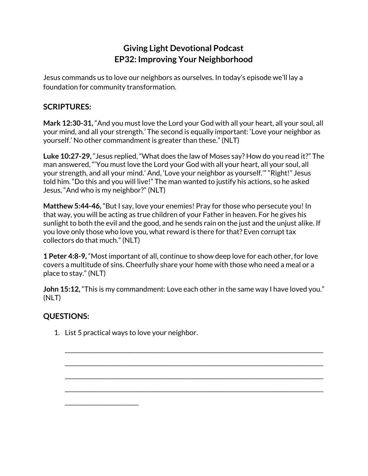## **Giving Light Devotional Podcast EP32: Improving Your Neighborhood**

Jesus commands us to love our neighbors as ourselves. In today's episode we'll lay a foundation for community transformation.

## **SCRIPTURES:**

**Mark 12:30-31,** "And you must love the Lord your God with all your heart, all your soul, all your mind, and all your strength.' The second is equally important: 'Love your neighbor as yourself.' No other commandment is greater than these." (NLT)

**Luke 10:27-29,** "Jesus replied, "What does the law of Moses say? How do you read it?" The man answered, "'You must love the Lord your God with all your heart, all your soul, all your strength, and all your mind.' And, 'Love your neighbor as yourself.'" "Right!" Jesus told him. "Do this and you will live!" The man wanted to justify his actions, so he asked Jesus, "And who is my neighbor?" (NLT)

**Matthew 5:44-46,** "But I say, love your enemies! Pray for those who persecute you! In that way, you will be acting as true children of your Father in heaven. For he gives his sunlight to both the evil and the good, and he sends rain on the just and the unjust alike. If you love only those who love you, what reward is there for that? Even corrupt tax collectors do that much." (NLT)

**1 Peter 4:8-9,** "Most important of all, continue to show deep love for each other, for love covers a multitude of sins. Cheerfully share your home with those who need a meal or a place to stay." (NLT)

**John 15:12,** "This is my commandment: Love each other in the same way I have loved you." (NLT)

\_\_\_\_\_\_\_\_\_\_\_\_\_\_\_\_\_\_\_\_\_\_\_\_\_\_\_\_\_\_\_\_\_\_\_\_\_\_\_\_\_\_\_\_\_\_\_\_\_\_\_\_\_\_\_\_\_\_\_\_\_\_\_\_\_\_\_\_\_\_\_\_\_\_\_\_\_\_\_\_\_\_\_\_\_\_\_\_\_\_\_

\_\_\_\_\_\_\_\_\_\_\_\_\_\_\_\_\_\_\_\_\_\_\_\_\_\_\_\_\_\_\_\_\_\_\_\_\_\_\_\_\_\_\_\_\_\_\_\_\_\_\_\_\_\_\_\_\_\_\_\_\_\_\_\_\_\_\_\_\_\_\_\_\_\_\_\_\_\_\_\_\_\_\_\_\_\_\_\_\_\_\_

\_\_\_\_\_\_\_\_\_\_\_\_\_\_\_\_\_\_\_\_\_\_\_\_\_\_\_\_\_\_\_\_\_\_\_\_\_\_\_\_\_\_\_\_\_\_\_\_\_\_\_\_\_\_\_\_\_\_\_\_\_\_\_\_\_\_\_\_\_\_\_\_\_\_\_\_\_\_\_\_\_\_\_\_\_\_\_\_\_\_\_

\_\_\_\_\_\_\_\_\_\_\_\_\_\_\_\_\_\_\_\_\_\_\_\_\_\_\_\_\_\_\_\_\_\_\_\_\_\_\_\_\_\_\_\_\_\_\_\_\_\_\_\_\_\_\_\_\_\_\_\_\_\_\_\_\_\_\_\_\_\_\_\_\_\_\_\_\_\_\_\_\_\_\_\_\_\_\_\_\_\_\_

## **QUESTIONS:**

1. List 5 practical ways to love your neighbor.

\_\_\_\_\_\_\_\_\_\_\_\_\_\_\_\_\_\_\_\_\_\_\_\_\_\_